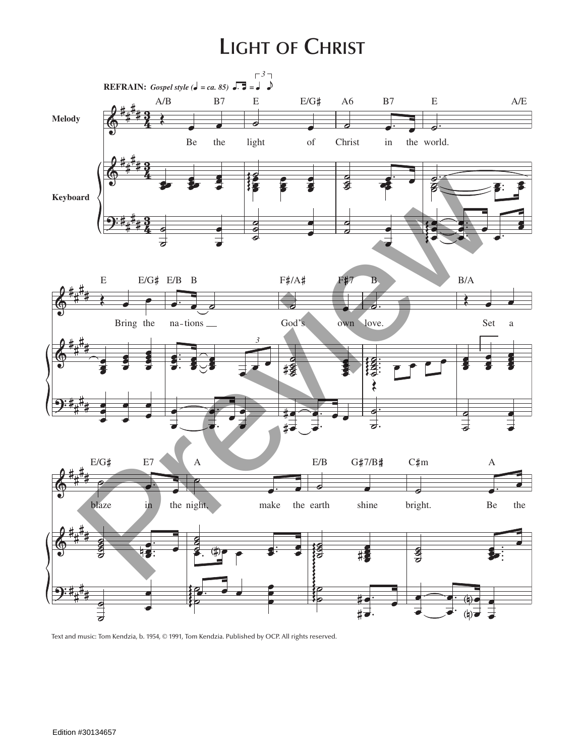## **Light of Christ**



Text and music: Tom Kendzia, b. 1954, © 1991, Tom Kendzia. Published by OCP. All rights reserved.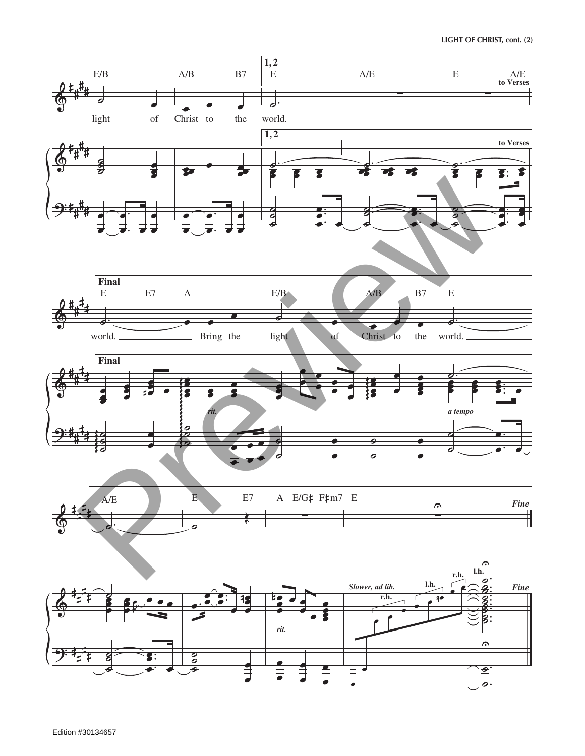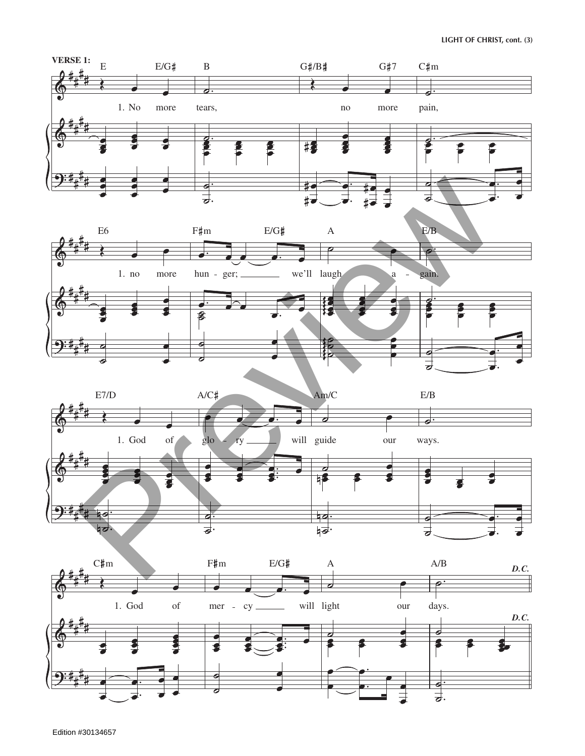